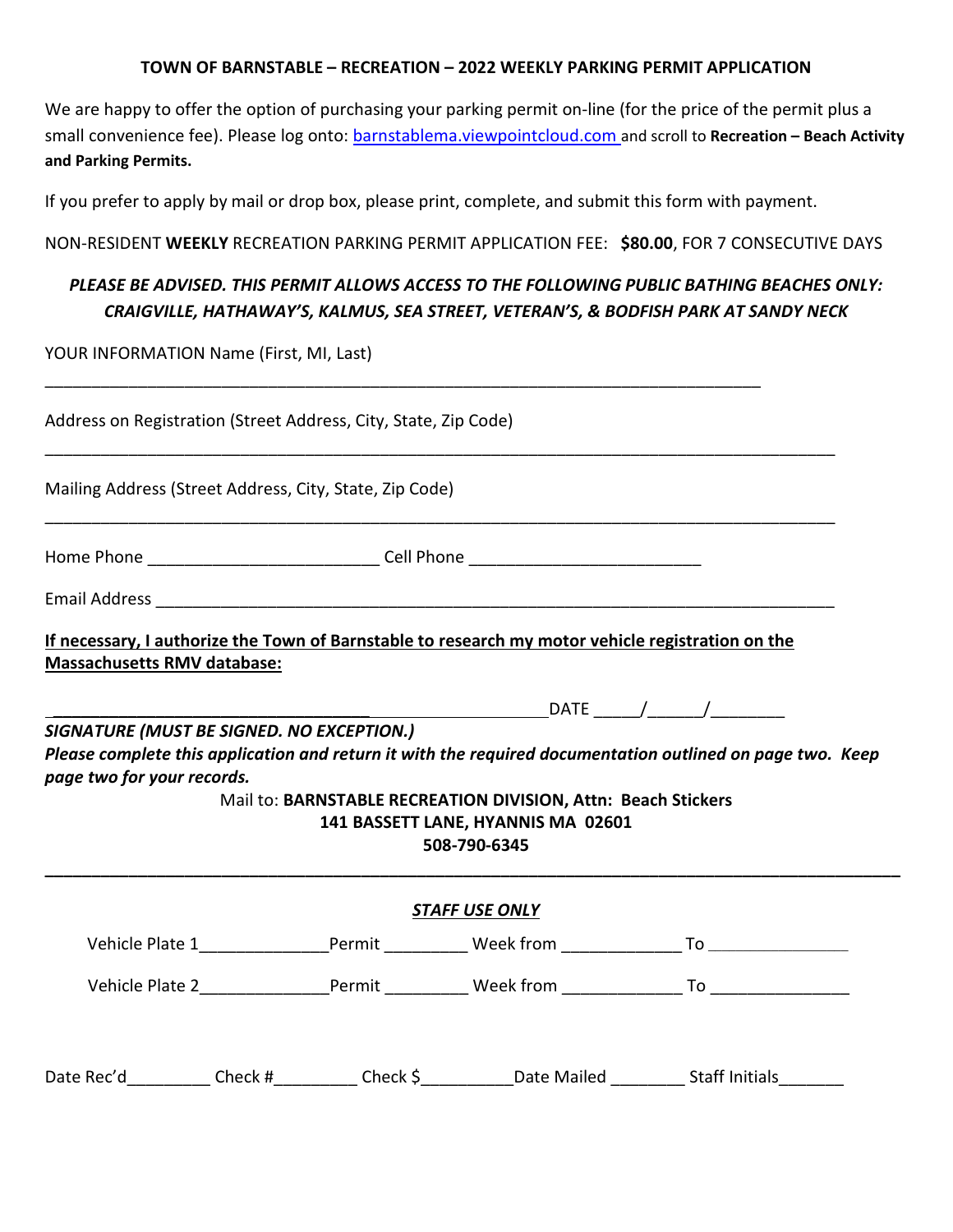#### **TOWN OF BARNSTABLE – RECREATION – 2022 WEEKLY PARKING PERMIT APPLICATION**

We are happy to offer the option of purchasing your parking permit on-line (for the price of the permit plus a small convenience fee). Please log onto: barnstablema.viewpointcloud.com and scroll to **Recreation – Beach Activity and Parking Permits.**

If you prefer to apply by mail or drop box, please print, complete, and submit this form with payment.

#### NON-RESIDENT **WEEKLY** RECREATION PARKING PERMIT APPLICATION FEE: **\$80.00**, FOR 7 CONSECUTIVE DAYS

# *PLEASE BE ADVISED. THIS PERMIT ALLOWS ACCESS TO THE FOLLOWING PUBLIC BATHING BEACHES ONLY: CRAIGVILLE, HATHAWAY'S, KALMUS, SEA STREET, VETERAN'S, & BODFISH PARK AT SANDY NECK*

YOUR INFORMATION Name (First, MI, Last)

| Address on Registration (Street Address, City, State, Zip Code)                                        |  |                                                                                  |                                                                                                                     |                                                                                                            |  |  |  |
|--------------------------------------------------------------------------------------------------------|--|----------------------------------------------------------------------------------|---------------------------------------------------------------------------------------------------------------------|------------------------------------------------------------------------------------------------------------|--|--|--|
|                                                                                                        |  | Mailing Address (Street Address, City, State, Zip Code)                          |                                                                                                                     |                                                                                                            |  |  |  |
|                                                                                                        |  | Home Phone ________________________________Cell Phone __________________________ |                                                                                                                     |                                                                                                            |  |  |  |
|                                                                                                        |  |                                                                                  |                                                                                                                     |                                                                                                            |  |  |  |
| Massachusetts RMV database:<br>SIGNATURE (MUST BE SIGNED. NO EXCEPTION.)<br>page two for your records. |  |                                                                                  | Mail to: BARNSTABLE RECREATION DIVISION, Attn: Beach Stickers<br>141 BASSETT LANE, HYANNIS MA 02601<br>508-790-6345 | Please complete this application and return it with the required documentation outlined on page two. Keep  |  |  |  |
|                                                                                                        |  |                                                                                  | <b>STAFF USE ONLY</b>                                                                                               |                                                                                                            |  |  |  |
|                                                                                                        |  |                                                                                  |                                                                                                                     |                                                                                                            |  |  |  |
|                                                                                                        |  |                                                                                  |                                                                                                                     |                                                                                                            |  |  |  |
|                                                                                                        |  |                                                                                  |                                                                                                                     | Date Rec'd____________Check #___________Check \$____________Date Mailed __________ Staff Initials_________ |  |  |  |